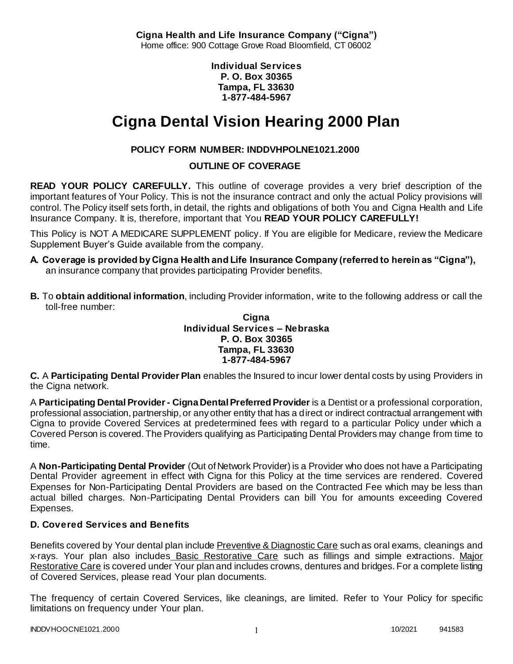**Cigna Health and Life Insurance Company ("Cigna")** Home office: 900 Cottage Grove Road Bloomfield, CT 06002

> **Individual Services P. O. Box 30365 Tampa, FL 33630 1-877-484-5967**

# **Cigna Dental Vision Hearing 2000 Plan**

# **POLICY FORM NUMBER: INDDVHPOLNE1021.2000**

**OUTLINE OF COVERAGE** 

**READ YOUR POLICY CAREFULLY.** This outline of coverage provides a very brief description of the important features of Your Policy. This is not the insurance contract and only the actual Policy provisions will control. The Policy itself sets forth, in detail, the rights and obligations of both You and Cigna Health and Life Insurance Company. It is, therefore, important that You **READ YOUR POLICY CAREFULLY!** 

This Policy is NOT A MEDICARE SUPPLEMENT policy. If You are eligible for Medicare, review the Medicare Supplement Buyer's Guide available from the company.

- **A. Coverage is provided by Cigna Health and Life Insurance Company (referred to herein as "Cigna"),**  an insurance company that provides participating Provider benefits.
- **B.** To **obtain additional information**, including Provider information, write to the following address or call the toll-free number:

**Cigna Individual Services – Nebraska P. O. Box 30365 Tampa, FL 33630 1-877-484-5967**

**C.** A **Participating Dental Provider Plan** enables the Insured to incur lower dental costs by using Providers in the Cigna network.

A **Participating Dental Provider - Cigna Dental Preferred Provider** is a Dentist or a professional corporation, professional association, partnership, or any other entity that has a direct or indirect contractual arrangement with Cigna to provide Covered Services at predetermined fees with regard to a particular Policy under which a Covered Person is covered. The Providers qualifying as Participating Dental Providers may change from time to time.

A **Non-Participating Dental Provider** (Out of Network Provider) is a Provider who does not have a Participating Dental Provider agreement in effect with Cigna for this Policy at the time services are rendered. Covered Expenses for Non-Participating Dental Providers are based on the Contracted Fee which may be less than actual billed charges. Non-Participating Dental Providers can bill You for amounts exceeding Covered Expenses.

## **D. Covered Services and Benefits**

Benefits covered by Your dental plan include Preventive & Diagnostic Care such as oral exams, cleanings and x-rays. Your plan also includes Basic Restorative Care such as fillings and simple extractions. Major Restorative Care is covered under Your plan and includes crowns, dentures and bridges. For a complete listing of Covered Services, please read Your plan documents.

The frequency of certain Covered Services, like cleanings, are limited. Refer to Your Policy for specific limitations on frequency under Your plan.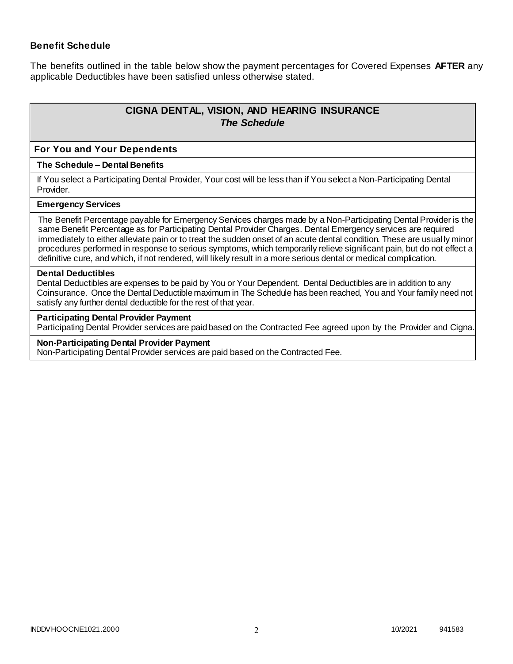## **Benefit Schedule**

The benefits outlined in the table below show the payment percentages for Covered Expenses **AFTER** any applicable Deductibles have been satisfied unless otherwise stated.

# **CIGNA DENTAL, VISION, AND HEARING INSURANCE** *The Schedule*

#### **For You and Your Dependents**

#### **The Schedule – Dental Benefits**

If You select a Participating Dental Provider, Your cost will be less than if You select a Non-Participating Dental Provider.

#### **Emergency Services**

The Benefit Percentage payable for Emergency Services charges made by a Non-Participating Dental Provider is the same Benefit Percentage as for Participating Dental Provider Charges. Dental Emergency services are required immediately to either alleviate pain or to treat the sudden onset of an acute dental condition. These are usual ly minor procedures performed in response to serious symptoms, which temporarily relieve significant pain, but do not effect a definitive cure, and which, if not rendered, will likely result in a more serious dental or medical complication.

#### **Dental Deductibles**

Dental Deductibles are expenses to be paid by You or Your Dependent. Dental Deductibles are in addition to any Coinsurance. Once the Dental Deductible maximum in The Schedule has been reached, You and Your family need not satisfy any further dental deductible for the rest of that year.

#### **Participating Dental Provider Payment**

Participating Dental Provider services are paid based on the Contracted Fee agreed upon by the Provider and Cigna.

#### **Non-Participating Dental Provider Payment**

Non-Participating Dental Provider services are paid based on the Contracted Fee.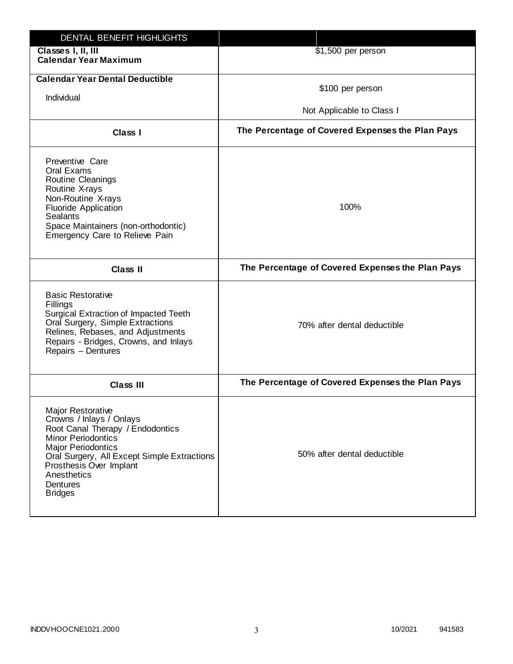| DENTAL BENEFIT HIGHLIGHTS                                                                                                                                                                                                                                                 |                                                  |
|---------------------------------------------------------------------------------------------------------------------------------------------------------------------------------------------------------------------------------------------------------------------------|--------------------------------------------------|
| Classes I, II, III<br><b>Calendar Year Maximum</b>                                                                                                                                                                                                                        | \$1,500 per person                               |
| <b>Calendar Year Dental Deductible</b><br>Individual                                                                                                                                                                                                                      | \$100 per person<br>Not Applicable to Class I    |
| Class I                                                                                                                                                                                                                                                                   | The Percentage of Covered Expenses the Plan Pays |
| Preventive Care<br>Oral Exams<br>Routine Cleanings<br>Routine X-rays<br>Non-Routine X-rays<br><b>Fluoride Application</b><br><b>Sealants</b><br>Space Maintainers (non-orthodontic)<br>Emergency Care to Relieve Pain                                                     | 100%                                             |
| <b>Class II</b>                                                                                                                                                                                                                                                           | The Percentage of Covered Expenses the Plan Pays |
| <b>Basic Restorative</b><br>Fillings<br>Surgical Extraction of Impacted Teeth<br>Oral Surgery, Simple Extractions<br>Relines, Rebases, and Adjustments<br>Repairs - Bridges, Crowns, and Inlays<br>Repairs - Dentures                                                     | 70% after dental deductible                      |
| <b>Class III</b>                                                                                                                                                                                                                                                          | The Percentage of Covered Expenses the Plan Pays |
| <b>Major Restorative</b><br>Crowns / Inlays / Onlays<br>Root Canal Therapy / Endodontics<br><b>Minor Periodontics</b><br><b>Major Periodontics</b><br>Oral Surgery, All Except Simple Extractions<br>Prosthesis Over Implant<br>Anesthetics<br>Dentures<br><b>Bridges</b> | 50% after dental deductible                      |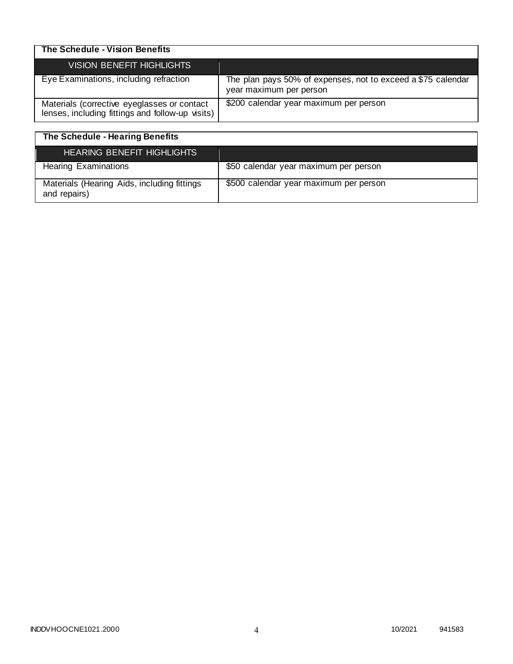| The Schedule - Vision Benefits                                                                  |                                                                                         |
|-------------------------------------------------------------------------------------------------|-----------------------------------------------------------------------------------------|
| VISION BENEFIT HIGHLIGHTS                                                                       |                                                                                         |
| Eye Examinations, including refraction                                                          | The plan pays 50% of expenses, not to exceed a \$75 calendar<br>year maximum per person |
| Materials (corrective eyeglasses or contact<br>lenses, including fittings and follow-up visits) | \$200 calendar year maximum per person                                                  |

| The Schedule - Hearing Benefits                             |                                        |
|-------------------------------------------------------------|----------------------------------------|
| <b>HEARING BENEFIT HIGHLIGHTS</b>                           |                                        |
| <b>Hearing Examinations</b>                                 | \$50 calendar year maximum per person  |
| Materials (Hearing Aids, including fittings<br>and repairs) | \$500 calendar year maximum per person |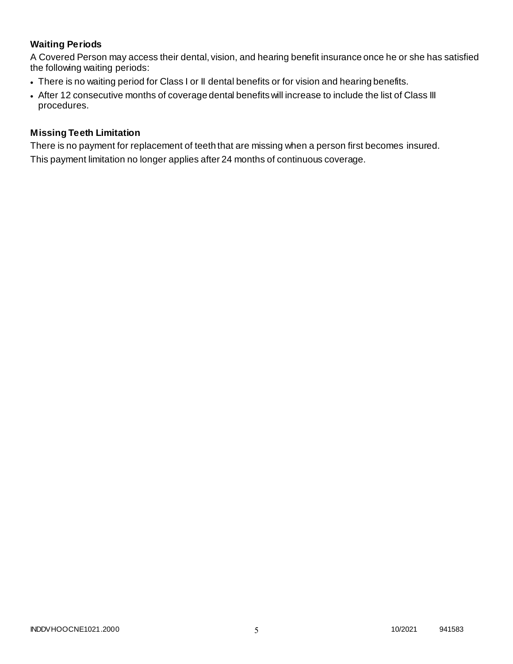## **Waiting Periods**

A Covered Person may access their dental, vision, and hearing benefit insurance once he or she has satisfied the following waiting periods:

- There is no waiting period for Class I or II dental benefits or for vision and hearing benefits.
- After 12 consecutive months of coverage dental benefits will increase to include the list of Class III procedures.

## **Missing Teeth Limitation**

There is no payment for replacement of teeth that are missing when a person first becomes insured. This payment limitation no longer applies after 24 months of continuous coverage.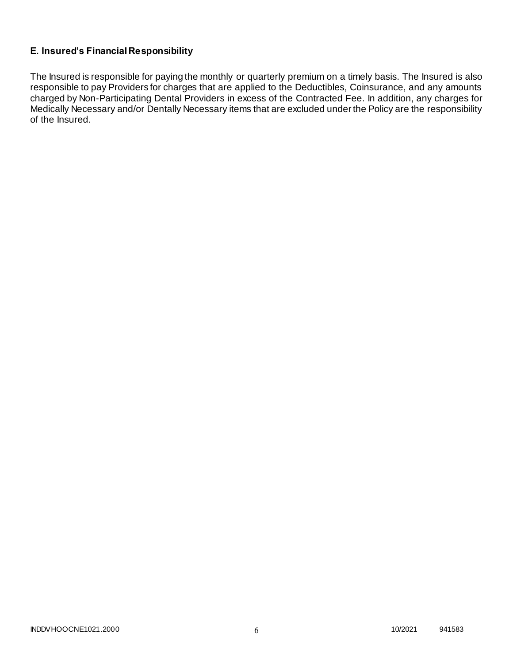## **E. Insured's Financial Responsibility**

The Insured is responsible for paying the monthly or quarterly premium on a timely basis. The Insured is also responsible to pay Providers for charges that are applied to the Deductibles, Coinsurance, and any amounts charged by Non-Participating Dental Providers in excess of the Contracted Fee. In addition, any charges for Medically Necessary and/or Dentally Necessary items that are excluded under the Policy are the responsibility of the Insured.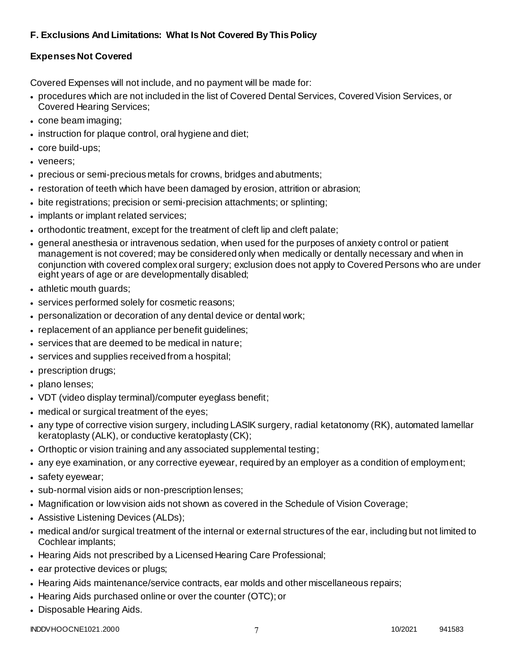# **F. Exclusions And Limitations: What Is Not Covered By This Policy**

## **Expenses Not Covered**

Covered Expenses will not include, and no payment will be made for:

- procedures which are not included in the list of Covered Dental Services, Covered Vision Services, or Covered Hearing Services;
- cone beam imaging;
- instruction for plaque control, oral hygiene and diet;
- core build-ups;
- veneers;
- precious or semi-precious metals for crowns, bridges and abutments;
- restoration of teeth which have been damaged by erosion, attrition or abrasion;
- bite registrations; precision or semi-precision attachments; or splinting;
- implants or implant related services;
- orthodontic treatment, except for the treatment of cleft lip and cleft palate;
- general anesthesia or intravenous sedation, when used for the purposes of anxiety control or patient management is not covered; may be considered only when medically or dentally necessary and when in conjunction with covered complex oral surgery; exclusion does not apply to Covered Persons who are under eight years of age or are developmentally disabled;
- athletic mouth guards;
- services performed solely for cosmetic reasons;
- personalization or decoration of any dental device or dental work;
- replacement of an appliance per benefit guidelines;
- services that are deemed to be medical in nature;
- services and supplies received from a hospital;
- prescription drugs;
- plano lenses:
- VDT (video display terminal)/computer eyeglass benefit;
- medical or surgical treatment of the eyes;
- any type of corrective vision surgery, including LASIK surgery, radial ketatonomy (RK), automated lamellar keratoplasty (ALK), or conductive keratoplasty (CK);
- Orthoptic or vision training and any associated supplemental testing;
- any eye examination, or any corrective eyewear, required by an employer as a condition of employment;
- safety eyewear;
- sub-normal vision aids or non-prescription lenses;
- Magnification or low vision aids not shown as covered in the Schedule of Vision Coverage;
- Assistive Listening Devices (ALDs);
- medical and/or surgical treatment of the internal or external structures of the ear, including but not limited to Cochlear implants;
- Hearing Aids not prescribed by a Licensed Hearing Care Professional;
- ear protective devices or plugs;
- Hearing Aids maintenance/service contracts, ear molds and other miscellaneous repairs;
- Hearing Aids purchased online or over the counter (OTC); or
- Disposable Hearing Aids.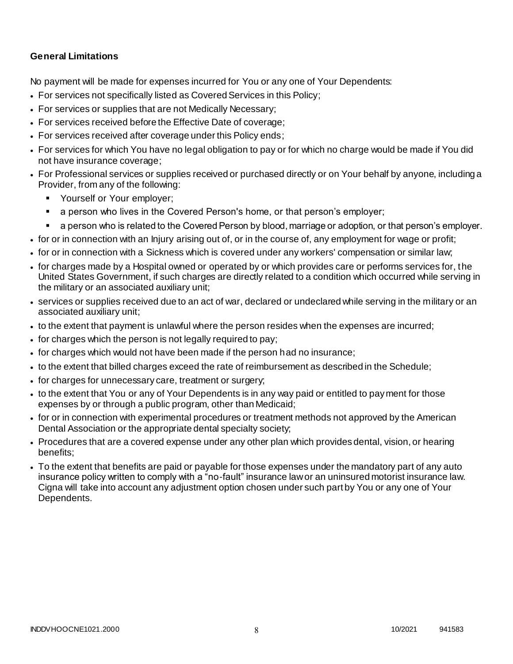## **General Limitations**

No payment will be made for expenses incurred for You or any one of Your Dependents:

- For services not specifically listed as Covered Services in this Policy;
- For services or supplies that are not Medically Necessary;
- For services received before the Effective Date of coverage;
- For services received after coverage under this Policy ends;
- For services for which You have no legal obligation to pay or for which no charge would be made if You did not have insurance coverage;
- For Professional services or supplies received or purchased directly or on Your behalf by anyone, including a Provider, from any of the following:
	- **Yourself or Your employer;**
	- a person who lives in the Covered Person's home, or that person's employer;
	- a person who is related to the Covered Person by blood, marriage or adoption, or that person's employer.
- for or in connection with an Injury arising out of, or in the course of, any employment for wage or profit;
- for or in connection with a Sickness which is covered under any workers' compensation or similar law;
- for charges made by a Hospital owned or operated by or which provides care or performs services for, the United States Government, if such charges are directly related to a condition which occurred while serving in the military or an associated auxiliary unit;
- services or supplies received due to an act of war, declared or undeclared while serving in the military or an associated auxiliary unit;
- to the extent that payment is unlawful where the person resides when the expenses are incurred;
- for charges which the person is not legally required to pay;
- for charges which would not have been made if the person had no insurance;
- to the extent that billed charges exceed the rate of reimbursement as described in the Schedule;
- for charges for unnecessary care, treatment or surgery;
- to the extent that You or any of Your Dependents is in any way paid or entitled to payment for those expenses by or through a public program, other than Medicaid;
- for or in connection with experimental procedures or treatment methods not approved by the American Dental Association or the appropriate dental specialty society;
- Procedures that are a covered expense under any other plan which provides dental, vision, or hearing benefits;
- To the extent that benefits are paid or payable for those expenses under the mandatory part of any auto insurance policy written to comply with a "no-fault" insurance law or an uninsured motorist insurance law. Cigna will take into account any adjustment option chosen under such part by You or any one of Your Dependents.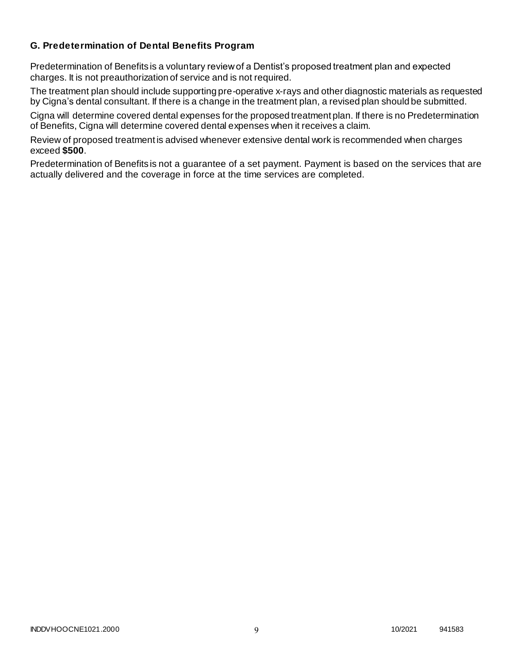## **G. Predetermination of Dental Benefits Program**

Predetermination of Benefits is a voluntary review of a Dentist's proposed treatment plan and expected charges. It is not preauthorization of service and is not required.

The treatment plan should include supporting pre-operative x-rays and other diagnostic materials as requested by Cigna's dental consultant. If there is a change in the treatment plan, a revised plan should be submitted.

Cigna will determine covered dental expenses for the proposed treatment plan. If there is no Predetermination of Benefits, Cigna will determine covered dental expenses when it receives a claim.

Review of proposed treatment is advised whenever extensive dental work is recommended when charges exceed **\$500**.

Predetermination of Benefits is not a guarantee of a set payment. Payment is based on the services that are actually delivered and the coverage in force at the time services are completed.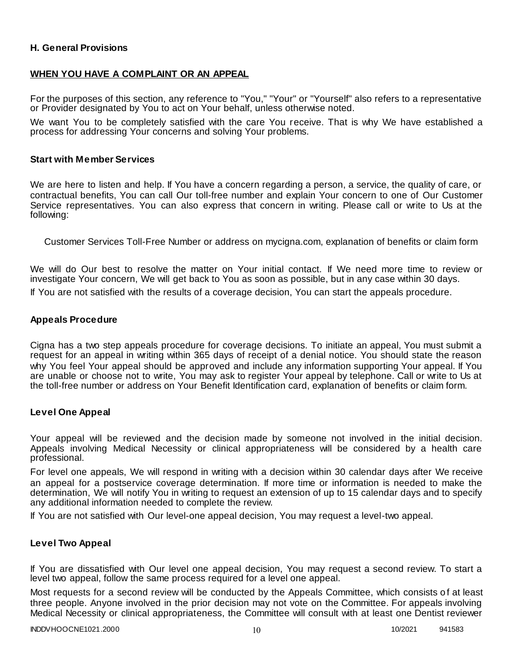## **H. General Provisions**

## **WHEN YOU HAVE A COMPLAINT OR AN APPEAL**

For the purposes of this section, any reference to "You," "Your" or "Yourself" also refers to a representative or Provider designated by You to act on Your behalf, unless otherwise noted.

We want You to be completely satisfied with the care You receive. That is why We have established a process for addressing Your concerns and solving Your problems.

#### **Start with Member Services**

We are here to listen and help. If You have a concern regarding a person, a service, the quality of care, or contractual benefits, You can call Our toll-free number and explain Your concern to one of Our Customer Service representatives. You can also express that concern in writing. Please call or write to Us at the following:

Customer Services Toll-Free Number or address on mycigna.com, explanation of benefits or claim form

We will do Our best to resolve the matter on Your initial contact. If We need more time to review or investigate Your concern, We will get back to You as soon as possible, but in any case within 30 days.

If You are not satisfied with the results of a coverage decision, You can start the appeals procedure.

#### **Appeals Procedure**

Cigna has a two step appeals procedure for coverage decisions. To initiate an appeal, You must submit a request for an appeal in writing within 365 days of receipt of a denial notice. You should state the reason why You feel Your appeal should be approved and include any information supporting Your appeal. If You are unable or choose not to write, You may ask to register Your appeal by telephone. Call or write to Us at the toll-free number or address on Your Benefit Identification card, explanation of benefits or claim form.

#### **Level One Appeal**

Your appeal will be reviewed and the decision made by someone not involved in the initial decision. Appeals involving Medical Necessity or clinical appropriateness will be considered by a health care professional.

For level one appeals, We will respond in writing with a decision within 30 calendar days after We receive an appeal for a postservice coverage determination. If more time or information is needed to make the determination, We will notify You in writing to request an extension of up to 15 calendar days and to specify any additional information needed to complete the review.

If You are not satisfied with Our level-one appeal decision, You may request a level-two appeal.

#### **Level Two Appeal**

If You are dissatisfied with Our level one appeal decision, You may request a second review. To start a level two appeal, follow the same process required for a level one appeal.

Most requests for a second review will be conducted by the Appeals Committee, which consists of at least three people. Anyone involved in the prior decision may not vote on the Committee. For appeals involving Medical Necessity or clinical appropriateness, the Committee will consult with at least one Dentist reviewer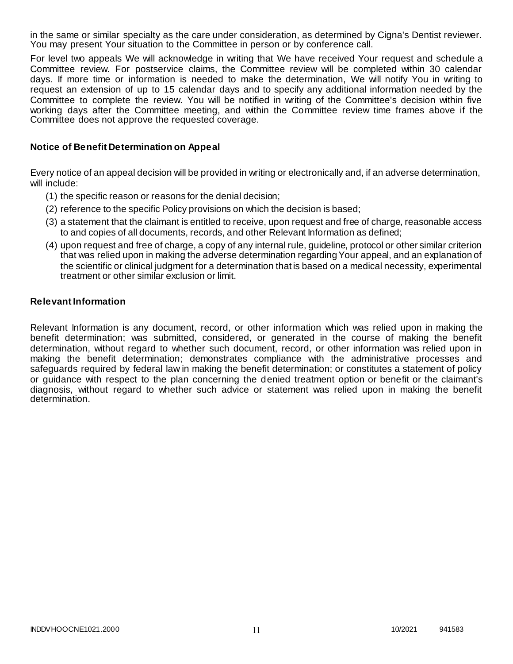in the same or similar specialty as the care under consideration, as determined by Cigna's Dentist reviewer. You may present Your situation to the Committee in person or by conference call.

For level two appeals We will acknowledge in writing that We have received Your request and schedule a Committee review. For postservice claims, the Committee review will be completed within 30 calendar days. If more time or information is needed to make the determination, We will notify You in writing to request an extension of up to 15 calendar days and to specify any additional information needed by the Committee to complete the review. You will be notified in writing of the Committee's decision within five working days after the Committee meeting, and within the Committee review time frames above if the Committee does not approve the requested coverage.

#### **Notice of Benefit Determination on Appeal**

Every notice of an appeal decision will be provided in writing or electronically and, if an adverse determination, will include:

- (1) the specific reason or reasons for the denial decision;
- (2) reference to the specific Policy provisions on which the decision is based;
- (3) a statement that the claimant is entitled to receive, upon request and free of charge, reasonable access to and copies of all documents, records, and other Relevant Information as defined;
- (4) upon request and free of charge, a copy of any internal rule, guideline, protocol or other similar criterion that was relied upon in making the adverse determination regarding Your appeal, and an explanation of the scientific or clinical judgment for a determination that is based on a medical necessity, experimental treatment or other similar exclusion or limit.

#### **Relevant Information**

Relevant Information is any document, record, or other information which was relied upon in making the benefit determination; was submitted, considered, or generated in the course of making the benefit determination, without regard to whether such document, record, or other information was relied upon in making the benefit determination; demonstrates compliance with the administrative processes and safeguards required by federal law in making the benefit determination; or constitutes a statement of policy or guidance with respect to the plan concerning the denied treatment option or benefit or the claimant's diagnosis, without regard to whether such advice or statement was relied upon in making the benefit determination.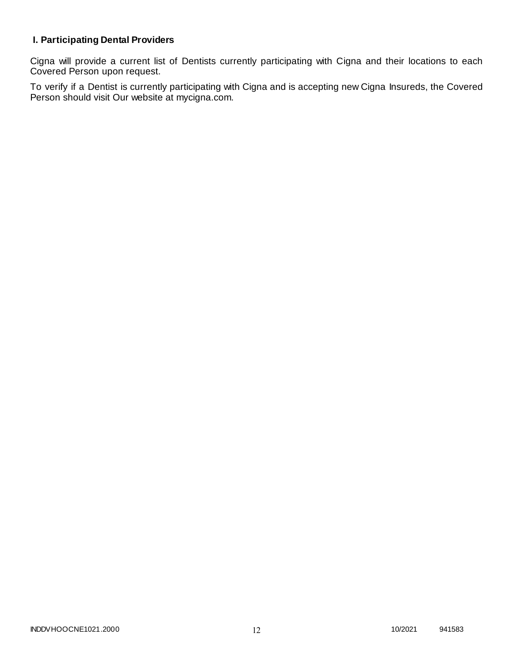# **I. Participating Dental Providers**

Cigna will provide a current list of Dentists currently participating with Cigna and their locations to each Covered Person upon request.

To verify if a Dentist is currently participating with Cigna and is accepting new Cigna Insureds, the Covered Person should visit Our website at mycigna.com.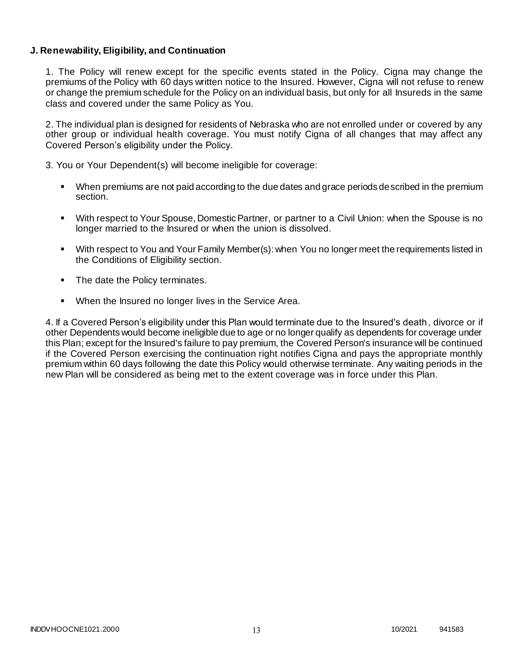## **J. Renewability, Eligibility, and Continuation**

1. The Policy will renew except for the specific events stated in the Policy. Cigna may change the premiums of the Policy with 60 days written notice to the Insured. However, Cigna will not refuse to renew or change the premium schedule for the Policy on an individual basis, but only for all Insureds in the same class and covered under the same Policy as You.

2. The individual plan is designed for residents of Nebraska who are not enrolled under or covered by any other group or individual health coverage. You must notify Cigna of all changes that may affect any Covered Person's eligibility under the Policy.

3. You or Your Dependent(s) will become ineligible for coverage:

- When premiums are not paid according to the due dates and grace periods described in the premium section.
- With respect to Your Spouse, Domestic Partner, or partner to a Civil Union: when the Spouse is no longer married to the Insured or when the union is dissolved.
- With respect to You and Your Family Member(s): when You no longer meet the requirements listed in the Conditions of Eligibility section.
- The date the Policy terminates.
- When the Insured no longer lives in the Service Area.

4. If a Covered Person's eligibility under this Plan would terminate due to the Insured's death, divorce or if other Dependents would become ineligible due to age or no longer qualify as dependents for coverage under this Plan; except for the Insured's failure to pay premium, the Covered Person's insurance will be continued if the Covered Person exercising the continuation right notifies Cigna and pays the appropriate monthly premium within 60 days following the date this Policy would otherwise terminate. Any waiting periods in the new Plan will be considered as being met to the extent coverage was in force under this Plan.